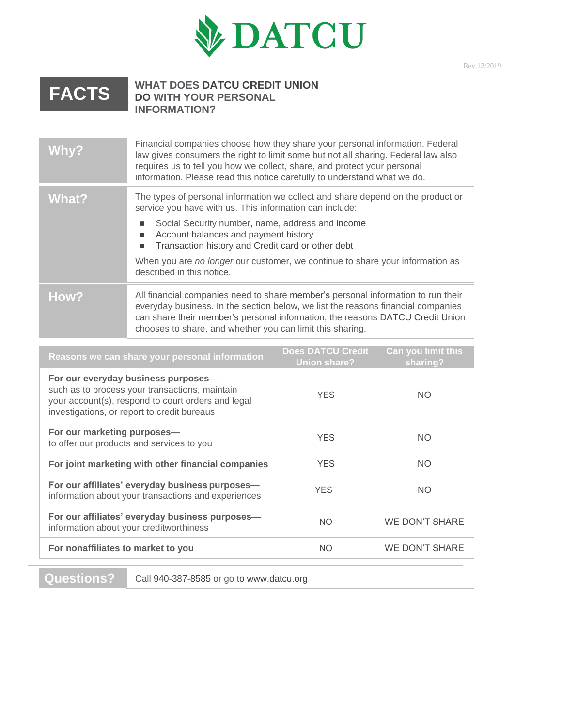

## **FACTS**

## **WHAT DOES DATCU CREDIT UNION DO WITH YOUR PERSONAL INFORMATION?**

| Why?         | Financial companies choose how they share your personal information. Federal<br>law gives consumers the right to limit some but not all sharing. Federal law also<br>requires us to tell you how we collect, share, and protect your personal<br>information. Please read this notice carefully to understand what we do.                                                                                                |
|--------------|--------------------------------------------------------------------------------------------------------------------------------------------------------------------------------------------------------------------------------------------------------------------------------------------------------------------------------------------------------------------------------------------------------------------------|
| <b>What?</b> | The types of personal information we collect and share depend on the product or<br>service you have with us. This information can include:<br>Social Security number, name, address and income<br>п<br>Account balances and payment history<br>п<br>Transaction history and Credit card or other debt<br>п<br>When you are no longer our customer, we continue to share your information as<br>described in this notice. |
| How?         | All financial companies need to share member's personal information to run their<br>everyday business. In the section below, we list the reasons financial companies<br>can share their member's personal information; the reasons DATCU Credit Union<br>chooses to share, and whether you can limit this sharing.                                                                                                       |

| Reasons we can share your personal information                                                                                                                                             | <b>Does DATCU Credit</b><br><b>Union share?</b> | <b>Can you limit this</b><br>sharing? |
|--------------------------------------------------------------------------------------------------------------------------------------------------------------------------------------------|-------------------------------------------------|---------------------------------------|
| For our everyday business purposes-<br>such as to process your transactions, maintain<br>your account(s), respond to court orders and legal<br>investigations, or report to credit bureaus | <b>YES</b>                                      | <b>NO</b>                             |
| For our marketing purposes-<br>to offer our products and services to you                                                                                                                   | <b>YES</b>                                      | <b>NO</b>                             |
| For joint marketing with other financial companies                                                                                                                                         | <b>YES</b>                                      | <b>NO</b>                             |
| For our affiliates' everyday business purposes-<br>information about your transactions and experiences                                                                                     | <b>YES</b>                                      | <b>NO</b>                             |
| For our affiliates' everyday business purposes-<br>information about your creditworthiness                                                                                                 | <b>NO</b>                                       | <b>WE DON'T SHARE</b>                 |
| For nonaffiliates to market to you                                                                                                                                                         | <b>NO</b>                                       | WE DON'T SHARE                        |
|                                                                                                                                                                                            |                                                 |                                       |

**Questions?** Call 940-387-8585 or go to [www.datcu.org](http://www.datcu.org/)